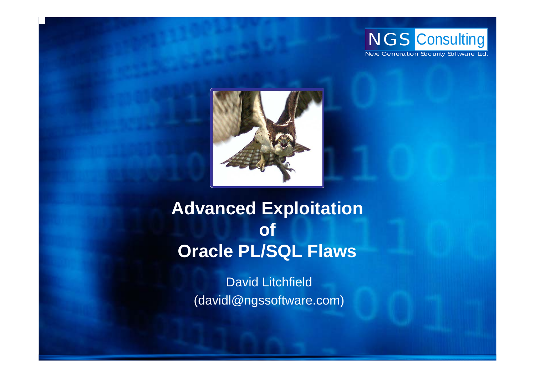



# **Advanced Exploitation of Oracle PL/SQL Flaws**

David Litchfield (davidl@ngssoftware.com)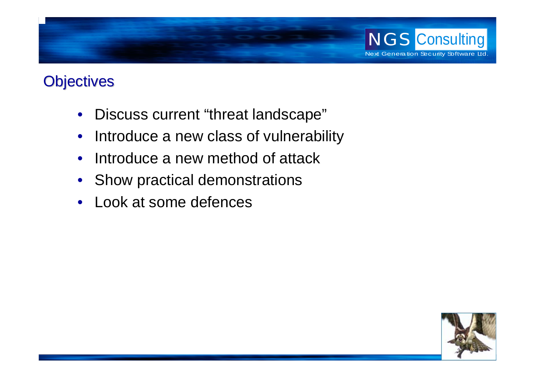

## **Objectives**

- $\bullet$ Discuss current "threat landscape"
- $\bullet$ Introduce a new class of vulnerability
- $\bullet$ Introduce a new method of attack
- Show practical demonstrations
- $\bullet$ Look at some defences

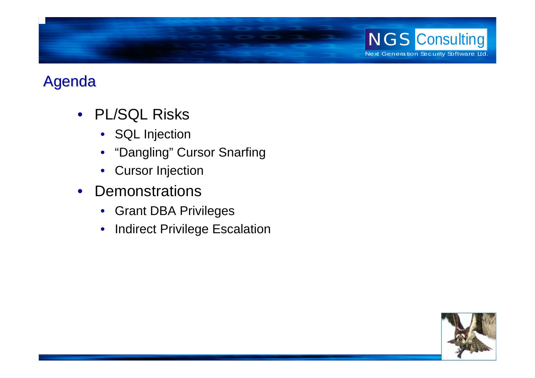

## Agenda

- PL/SQL Risks
	- SQL Injection
	- •"Dangling" Cursor Snarfing
	- •Cursor Injection
- Demonstrations
	- Grant DBA Privileges
	- $\bullet$ Indirect Privilege Escalation

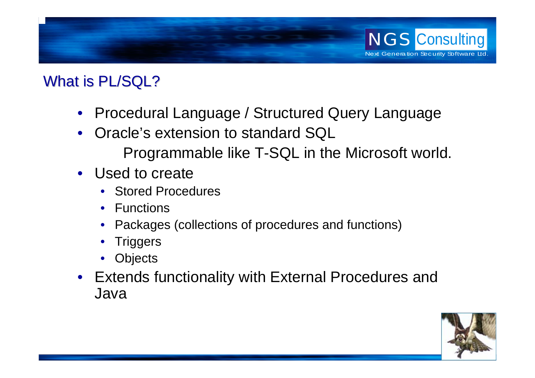

### What is PL/SQL?

- Procedural Language / Structured Query Language
- • Oracle's extension to standard SQL Programmable like T-SQL in the Microsoft world.
- Used to create
	- Stored Procedures
	- Functions
	- •Packages (collections of procedures and functions)
	- •**Triggers**
	- •**Objects**
- Extends functionality with External Procedures and Java

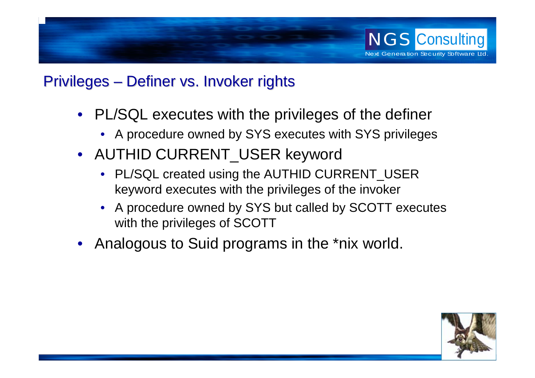

#### Privileges – Definer vs. Invoker rights

- PL/SQL executes with the privileges of the definer
	- A procedure owned by SYS executes with SYS privileges
- AUTHID CURRENT\_USER keyword
	- PL/SQL created using the AUTHID CURRENT\_USER keyword executes with the privileges of the invoker
	- A procedure owned by SYS but called by SCOTT executes with the privileges of SCOTT
- Analogous to Suid programs in the \*nix world.

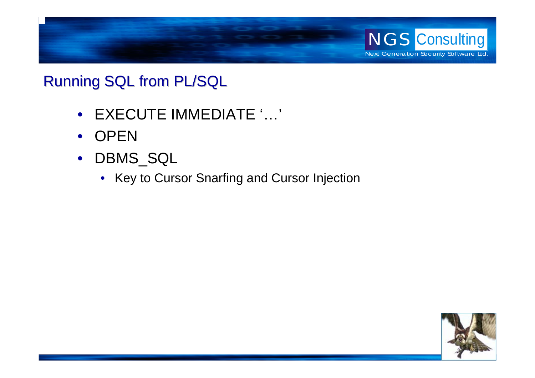

### **Running SQL from PL/SQL**

- EXECUTE IMMEDIATE '…'
- $\bullet$ **OPEN**
- DBMS\_SQL
	- Key to Cursor Snarfing and Cursor Injection

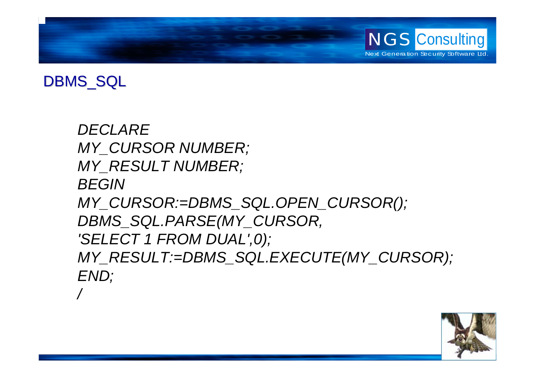

### DBMS\_SQL

*DECLAREMY\_CURSOR NUMBER; MY\_RESULT NUMBER; BEGINMY\_CURSOR:=DBMS\_SQL.OPEN\_CURSOR(); DBMS\_SQL.PARSE(MY\_CURSOR, 'SELECT 1 FROM DUAL',0); MY\_RESULT:=DBMS\_SQL.EXECUTE(MY\_CURSOR); END; /*

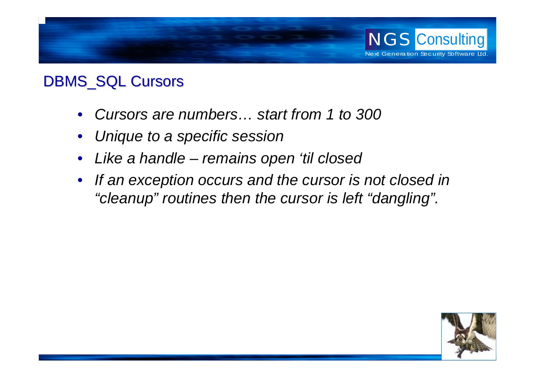

#### DBMS\_SQL Cursors

- •*Cursors are numbers… start from 1 to 300*
- •*Unique to a specific session*
- •*Like a handle – remains open 'til closed*
- *If an exception occurs and the cursor is not closed in "cleanup" routines then the cursor is left "dangling".*

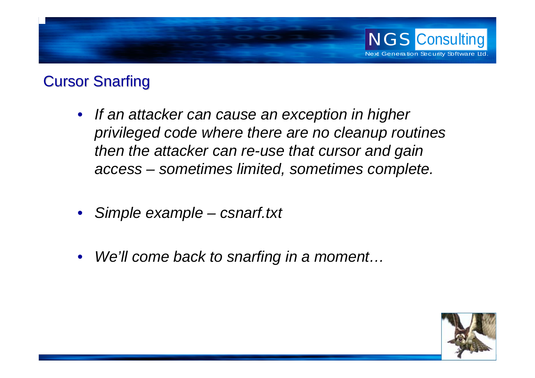

### **Cursor Snarfing**

- *If an attacker can cause an exception in higher privileged code where there are no cleanup routines then the attacker can re-use that cursor and gain access – sometimes limited, sometimes complete.*
- $\bullet$ *Simple example – csnarf.txt*
- $\bullet$ *We'll come back to snarfing in a moment…*

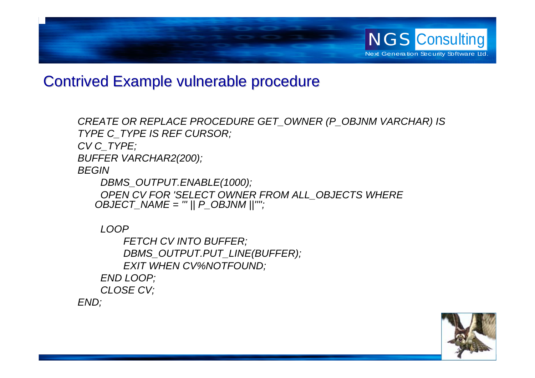

#### **Contrived Example vulnerable procedure**

*CREATE OR REPLACE PROCEDURE GET\_OWNER (P\_OBJNM VARCHAR) IS TYPE C\_TYPE I S REF CURSOR; CV C\_TYPE; BUFFER VARCHAR2(200); BEGINDBMS\_OUTPUT.ENABLE(1000);*

*OPEN CV FOR 'SELECT OWNER FROM ALL\_OBJECTS WHERE OBJECT\_NAME = ''' || P\_OBJNM ||'''';*

*LOOP*

*FETCH CV INTO BUFFER; DBMS\_OUTPUT.PUT\_LINE(BUFFER); EXIT WHEN CV%NOTFOUND; END LOOP; CLOSE CV; END;*

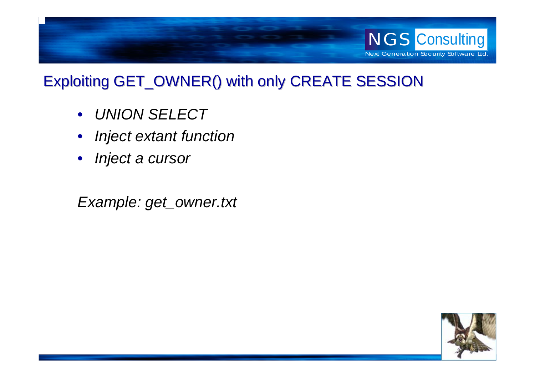

## Exploiting GET\_OWNER() with only CREATE SESSION

- *UNION SELECT*
- •*Inject extant function*
- *Inject a cursor*

*Example: get\_owner.txt*

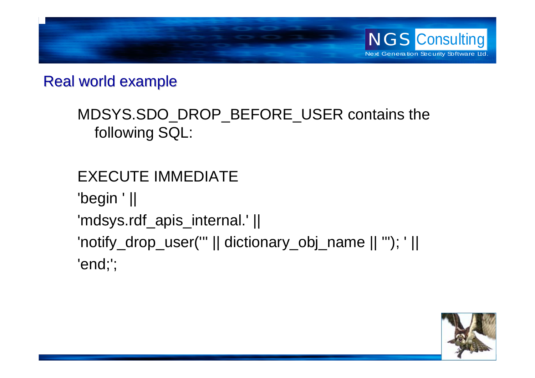

#### Real world example

## MDSYS.SDO\_DROP\_BEFORE\_USER contains the following SQL:

EXECUTE IMMEDIATE'begin ' || 'mdsys.rdf\_apis\_internal.' || 'notify\_drop\_user(''' || dictionary\_obj\_name || '''); ' || 'end;';

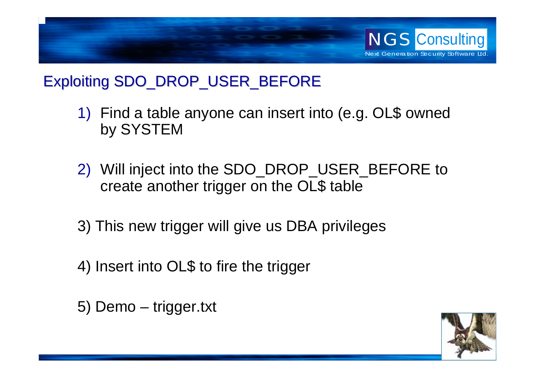

## Exploiting SDO\_DROP\_USER\_BEFORE

- 1) Find a table anyone can insert into (e.g. OL\$ owned by SYSTEM
- 2) Will inject into the SDO\_DROP\_USER\_BEFORE to create another trigger on the OL\$ table
- 3) This new trigger will give us DBA privileges
- 4) Insert into OL\$ to fire the trigger
- 5) Demo trigger.txt

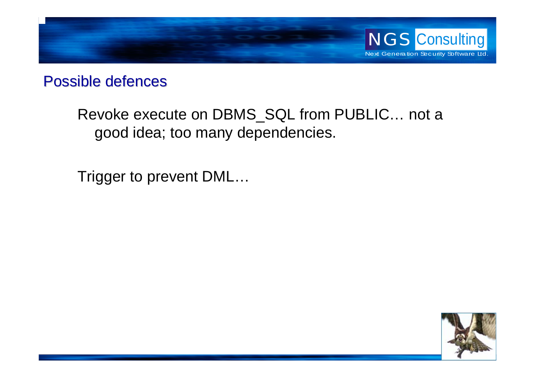

#### Possible defences

Revoke execute on DBMS\_SQL from PUBLIC… not a good idea; too many dependencies.

Trigger to prevent DML…

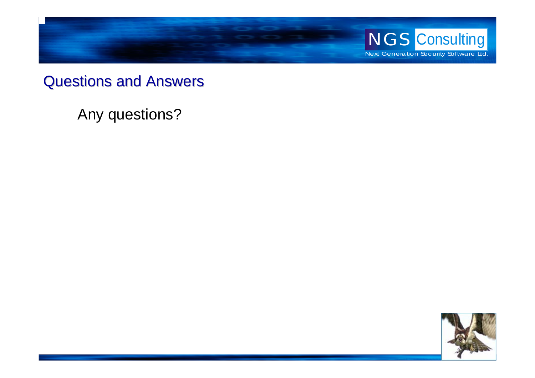

#### Questions and Answers Questions and Answers

Any questions?